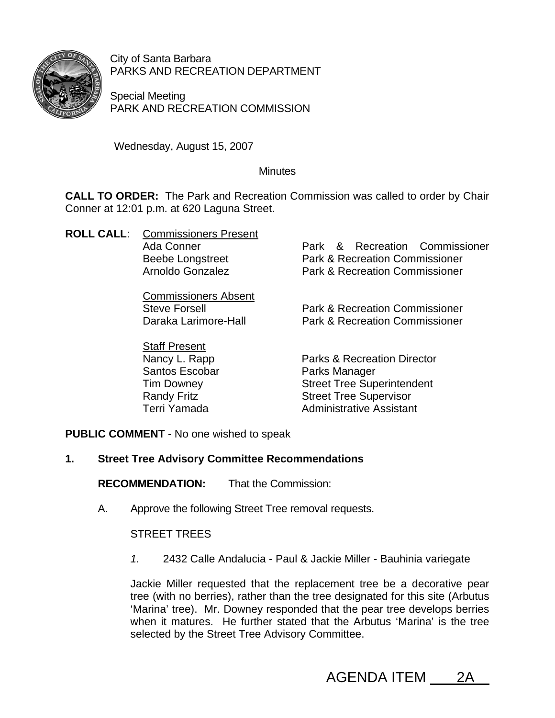

City of Santa Barbara PARKS AND RECREATION DEPARTMENT

Special Meeting PARK AND RECREATION COMMISSION

Wednesday, August 15, 2007

## **Minutes**

**CALL TO ORDER:** The Park and Recreation Commission was called to order by Chair Conner at 12:01 p.m. at 620 Laguna Street.

| <b>ROLL CALL:</b> Commissioners Present |                                           |
|-----------------------------------------|-------------------------------------------|
| Ada Conner                              | Park & Recreation Commissioner            |
| <b>Beebe Longstreet</b>                 | <b>Park &amp; Recreation Commissioner</b> |
| Arnoldo Gonzalez                        | <b>Park &amp; Recreation Commissioner</b> |
| <b>Commissioners Absent</b>             |                                           |
| <b>Steve Forsell</b>                    | <b>Park &amp; Recreation Commissioner</b> |
| Daraka Larimore-Hall                    | <b>Park &amp; Recreation Commissioner</b> |
| <b>Staff Present</b>                    |                                           |
| Nancy L. Rapp                           | <b>Parks &amp; Recreation Director</b>    |
| <b>Santos Escobar</b>                   | Parks Manager                             |
| <b>Tim Downey</b>                       | <b>Street Tree Superintendent</b>         |
| <b>Randy Fritz</b>                      | <b>Street Tree Supervisor</b>             |
| Terri Yamada                            | <b>Administrative Assistant</b>           |

**PUBLIC COMMENT** - No one wished to speak

# **1. Street Tree Advisory Committee Recommendations**

**RECOMMENDATION:** That the Commission:

A. Approve the following Street Tree removal requests.

STREET TREES

*1.* 2432 Calle Andalucia - Paul & Jackie Miller - Bauhinia variegate

Jackie Miller requested that the replacement tree be a decorative pear tree (with no berries), rather than the tree designated for this site (Arbutus 'Marina' tree). Mr. Downey responded that the pear tree develops berries when it matures. He further stated that the Arbutus 'Marina' is the tree selected by the Street Tree Advisory Committee.

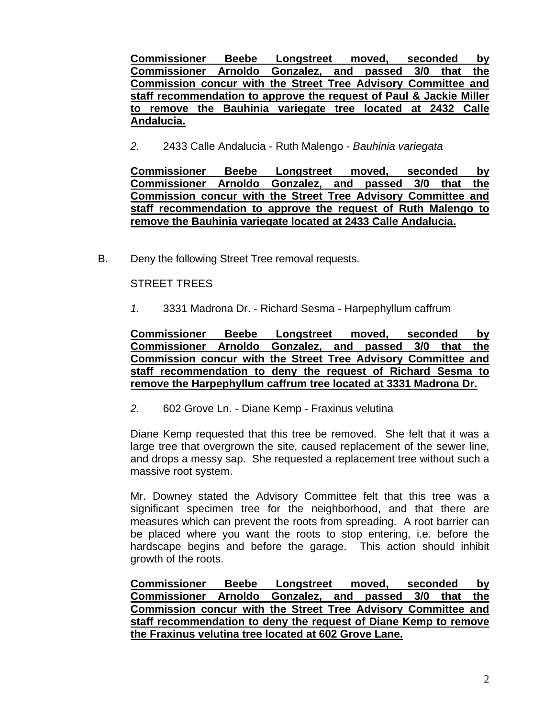**Commissioner Beebe Longstreet moved, seconded by Commissioner Arnoldo Gonzalez, and passed 3/0 that the Commission concur with the Street Tree Advisory Committee and staff recommendation to approve the request of Paul & Jackie Miller to remove the Bauhinia variegate tree located at 2432 Calle Andalucia.** 

*2.* 2433 Calle Andalucia - Ruth Malengo - *Bauhinia variegata*

**Commissioner Beebe Longstreet moved, seconded by Commissioner Arnoldo Gonzalez, and passed 3/0 that the Commission concur with the Street Tree Advisory Committee and staff recommendation to approve the request of Ruth Malengo to remove the Bauhinia variegate located at 2433 Calle Andalucia.**

B. Deny the following Street Tree removal requests.

### STREET TREES

*1.* 3331 Madrona Dr. - Richard Sesma - Harpephyllum caffrum

**Commissioner Beebe Longstreet moved, seconded by Commissioner Arnoldo Gonzalez, and passed 3/0 that the Commission concur with the Street Tree Advisory Committee and staff recommendation to deny the request of Richard Sesma to remove the Harpephyllum caffrum tree located at 3331 Madrona Dr.**

*2.* 602 Grove Ln. - Diane Kemp - Fraxinus velutina

Diane Kemp requested that this tree be removed. She felt that it was a large tree that overgrown the site, caused replacement of the sewer line, and drops a messy sap. She requested a replacement tree without such a massive root system.

Mr. Downey stated the Advisory Committee felt that this tree was a significant specimen tree for the neighborhood, and that there are measures which can prevent the roots from spreading. A root barrier can be placed where you want the roots to stop entering, i.e. before the hardscape begins and before the garage. This action should inhibit growth of the roots.

**Commissioner Beebe Longstreet moved, seconded by Commissioner Arnoldo Gonzalez, and passed 3/0 that the Commission concur with the Street Tree Advisory Committee and staff recommendation to deny the request of Diane Kemp to remove the Fraxinus velutina tree located at 602 Grove Lane.**